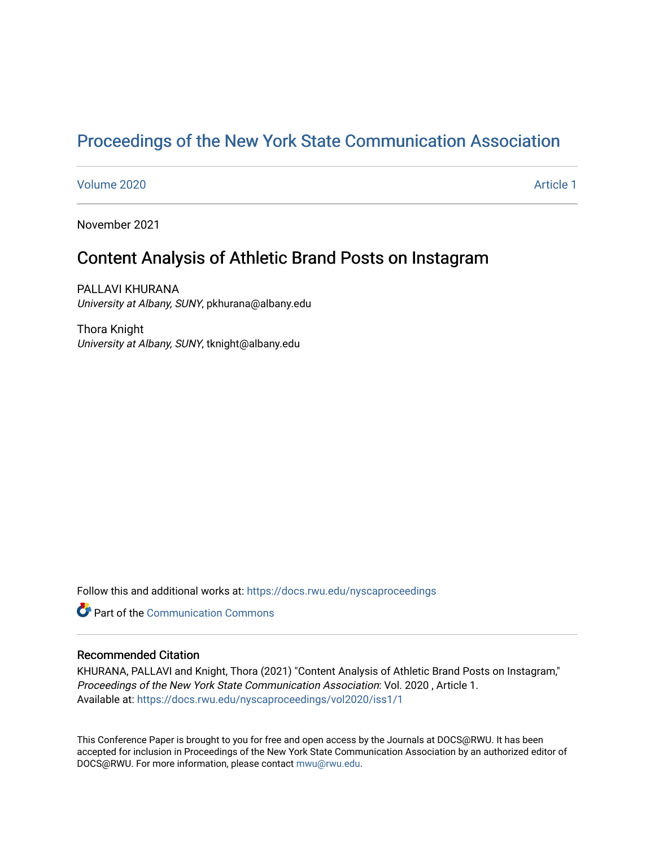# [Proceedings of the New York State Communication Association](https://docs.rwu.edu/nyscaproceedings)

[Volume 2020](https://docs.rwu.edu/nyscaproceedings/vol2020) **Article 1** Article 1

November 2021

# Content Analysis of Athletic Brand Posts on Instagram

PALLAVI KHURANA University at Albany, SUNY, pkhurana@albany.edu

Thora Knight University at Albany, SUNY, tknight@albany.edu

Follow this and additional works at: [https://docs.rwu.edu/nyscaproceedings](https://docs.rwu.edu/nyscaproceedings?utm_source=docs.rwu.edu%2Fnyscaproceedings%2Fvol2020%2Fiss1%2F1&utm_medium=PDF&utm_campaign=PDFCoverPages)

**C** Part of the Communication Commons

#### Recommended Citation

KHURANA, PALLAVI and Knight, Thora (2021) "Content Analysis of Athletic Brand Posts on Instagram," Proceedings of the New York State Communication Association: Vol. 2020 , Article 1. Available at: [https://docs.rwu.edu/nyscaproceedings/vol2020/iss1/1](https://docs.rwu.edu/nyscaproceedings/vol2020/iss1/1?utm_source=docs.rwu.edu%2Fnyscaproceedings%2Fvol2020%2Fiss1%2F1&utm_medium=PDF&utm_campaign=PDFCoverPages)

This Conference Paper is brought to you for free and open access by the Journals at DOCS@RWU. It has been accepted for inclusion in Proceedings of the New York State Communication Association by an authorized editor of DOCS@RWU. For more information, please contact [mwu@rwu.edu.](mailto:mwu@rwu.edu)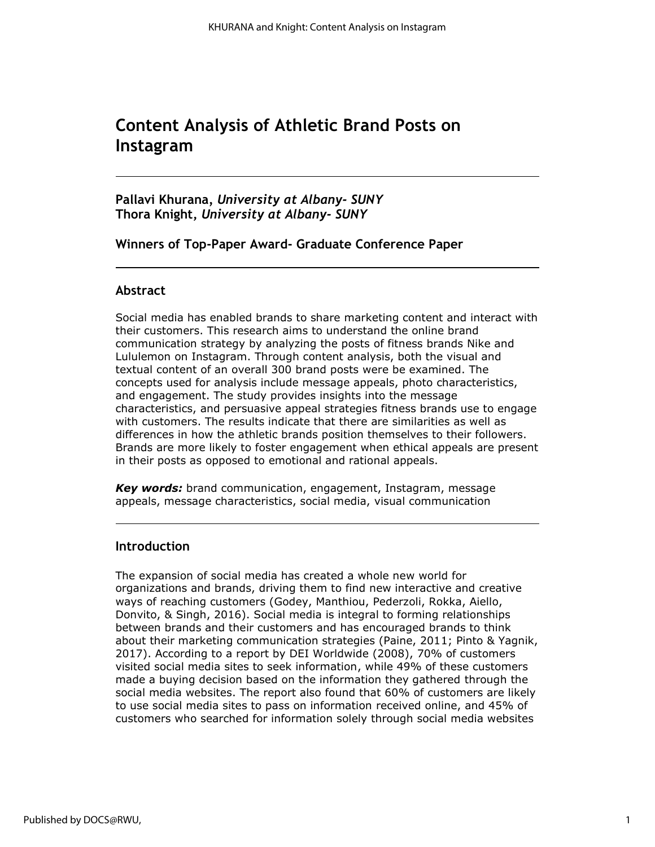# **Content Analysis of Athletic Brand Posts on Instagram**

**Pallavi Khurana***, University at Albany- SUNY* **Thora Knight,** *University at Albany- SUNY*

**Winners of Top-Paper Award- Graduate Conference Paper**

# **Abstract**

Social media has enabled brands to share marketing content and interact with their customers. This research aims to understand the online brand communication strategy by analyzing the posts of fitness brands Nike and Lululemon on Instagram. Through content analysis, both the visual and textual content of an overall 300 brand posts were be examined. The concepts used for analysis include message appeals, photo characteristics, and engagement. The study provides insights into the message characteristics, and persuasive appeal strategies fitness brands use to engage with customers. The results indicate that there are similarities as well as differences in how the athletic brands position themselves to their followers. Brands are more likely to foster engagement when ethical appeals are present in their posts as opposed to emotional and rational appeals.

*Key words:* brand communication, engagement, Instagram, message appeals, message characteristics, social media, visual communication

## **Introduction**

The expansion of social media has created a whole new world for organizations and brands, driving them to find new interactive and creative ways of reaching customers (Godey, Manthiou, Pederzoli, Rokka, Aiello, Donvito, & Singh, 2016). Social media is integral to forming relationships between brands and their customers and has encouraged brands to think about their marketing communication strategies (Paine, 2011; Pinto & Yagnik, 2017). According to a report by DEI Worldwide (2008), 70% of customers visited social media sites to seek information, while 49% of these customers made a buying decision based on the information they gathered through the social media websites. The report also found that 60% of customers are likely to use social media sites to pass on information received online, and 45% of customers who searched for information solely through social media websites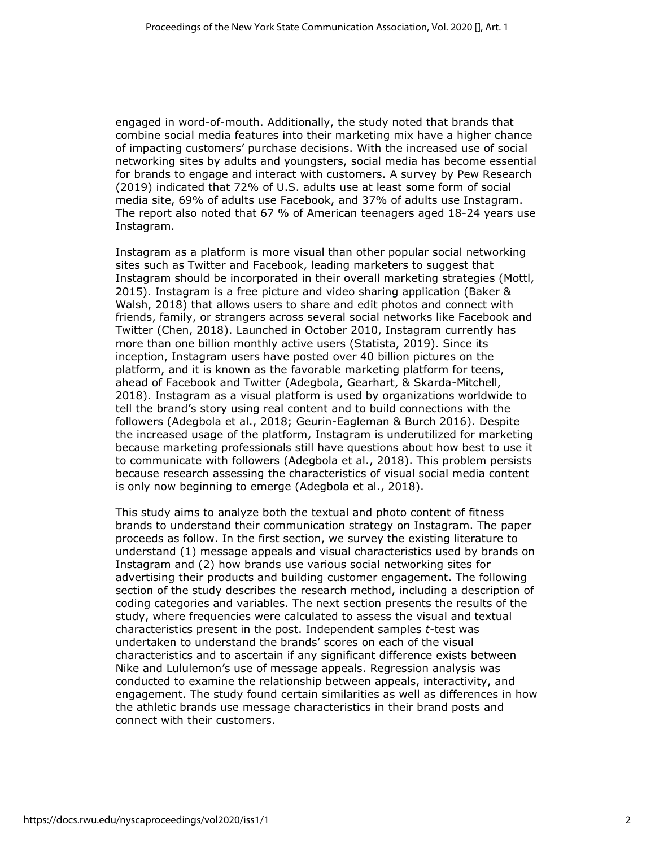engaged in word-of-mouth. Additionally, the study noted that brands that combine social media features into their marketing mix have a higher chance of impacting customers' purchase decisions. With the increased use of social networking sites by adults and youngsters, social media has become essential for brands to engage and interact with customers. A survey by Pew Research (2019) indicated that 72% of U.S. adults use at least some form of social media site, 69% of adults use Facebook, and 37% of adults use Instagram. The report also noted that 67 % of American teenagers aged 18-24 years use Instagram.

Instagram as a platform is more visual than other popular social networking sites such as Twitter and Facebook, leading marketers to suggest that Instagram should be incorporated in their overall marketing strategies (Mottl, 2015). Instagram is a free picture and video sharing application (Baker & Walsh, 2018) that allows users to share and edit photos and connect with friends, family, or strangers across several social networks like Facebook and Twitter (Chen, 2018). Launched in October 2010, Instagram currently has more than one billion monthly active users (Statista, 2019). Since its inception, Instagram users have posted over 40 billion pictures on the platform, and it is known as the favorable marketing platform for teens, ahead of Facebook and Twitter (Adegbola, Gearhart, & Skarda-Mitchell, 2018). Instagram as a visual platform is used by organizations worldwide to tell the brand's story using real content and to build connections with the followers (Adegbola et al., 2018; Geurin-Eagleman & Burch 2016). Despite the increased usage of the platform, Instagram is underutilized for marketing because marketing professionals still have questions about how best to use it to communicate with followers (Adegbola et al., 2018). This problem persists because research assessing the characteristics of visual social media content is only now beginning to emerge (Adegbola et al., 2018).

This study aims to analyze both the textual and photo content of fitness brands to understand their communication strategy on Instagram. The paper proceeds as follow. In the first section, we survey the existing literature to understand (1) message appeals and visual characteristics used by brands on Instagram and (2) how brands use various social networking sites for advertising their products and building customer engagement. The following section of the study describes the research method, including a description of coding categories and variables. The next section presents the results of the study, where frequencies were calculated to assess the visual and textual characteristics present in the post. Independent samples *t*-test was undertaken to understand the brands' scores on each of the visual characteristics and to ascertain if any significant difference exists between Nike and Lululemon's use of message appeals. Regression analysis was conducted to examine the relationship between appeals, interactivity, and engagement. The study found certain similarities as well as differences in how the athletic brands use message characteristics in their brand posts and connect with their customers.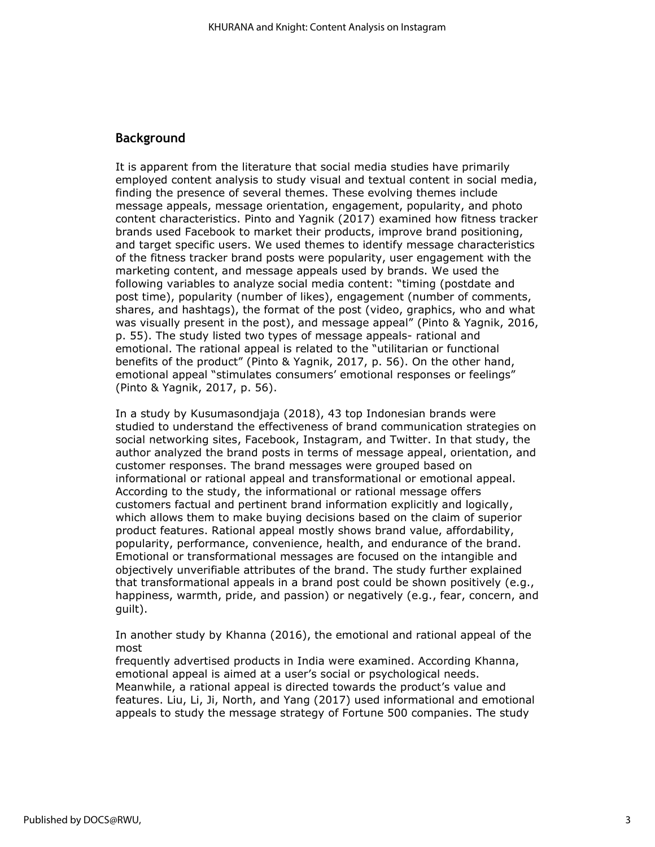#### **Background**

It is apparent from the literature that social media studies have primarily employed content analysis to study visual and textual content in social media, finding the presence of several themes. These evolving themes include message appeals, message orientation, engagement, popularity, and photo content characteristics. Pinto and Yagnik (2017) examined how fitness tracker brands used Facebook to market their products, improve brand positioning, and target specific users. We used themes to identify message characteristics of the fitness tracker brand posts were popularity, user engagement with the marketing content, and message appeals used by brands. We used the following variables to analyze social media content: "timing (postdate and post time), popularity (number of likes), engagement (number of comments, shares, and hashtags), the format of the post (video, graphics, who and what was visually present in the post), and message appeal" (Pinto & Yagnik, 2016, p. 55). The study listed two types of message appeals- rational and emotional. The rational appeal is related to the "utilitarian or functional benefits of the product" (Pinto & Yagnik, 2017, p. 56). On the other hand, emotional appeal "stimulates consumers' emotional responses or feelings" (Pinto & Yagnik, 2017, p. 56).

In a study by Kusumasondjaja (2018), 43 top Indonesian brands were studied to understand the effectiveness of brand communication strategies on social networking sites, Facebook, Instagram, and Twitter. In that study, the author analyzed the brand posts in terms of message appeal, orientation, and customer responses. The brand messages were grouped based on informational or rational appeal and transformational or emotional appeal. According to the study, the informational or rational message offers customers factual and pertinent brand information explicitly and logically, which allows them to make buying decisions based on the claim of superior product features. Rational appeal mostly shows brand value, affordability, popularity, performance, convenience, health, and endurance of the brand. Emotional or transformational messages are focused on the intangible and objectively unverifiable attributes of the brand. The study further explained that transformational appeals in a brand post could be shown positively (e.g., happiness, warmth, pride, and passion) or negatively (e.g., fear, concern, and guilt).

In another study by Khanna (2016), the emotional and rational appeal of the most

frequently advertised products in India were examined. According Khanna, emotional appeal is aimed at a user's social or psychological needs. Meanwhile, a rational appeal is directed towards the product's value and features. Liu, Li, Ji, North, and Yang (2017) used informational and emotional appeals to study the message strategy of Fortune 500 companies. The study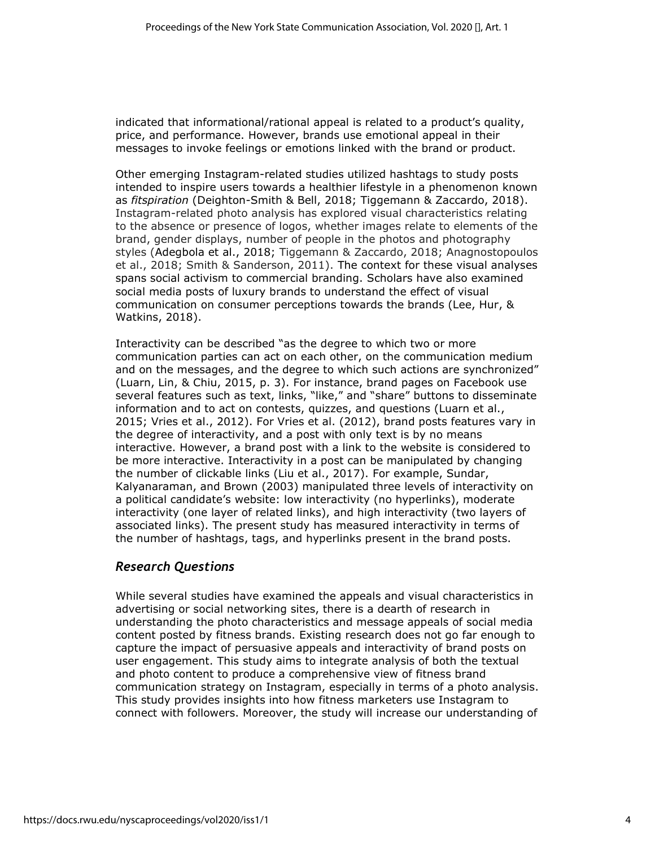indicated that informational/rational appeal is related to a product's quality, price, and performance. However, brands use emotional appeal in their messages to invoke feelings or emotions linked with the brand or product.

Other emerging Instagram-related studies utilized hashtags to study posts intended to inspire users towards a healthier lifestyle in a phenomenon known as *fitspiration* (Deighton-Smith & Bell, 2018; Tiggemann & Zaccardo, 2018). Instagram-related photo analysis has explored visual characteristics relating to the absence or presence of logos, whether images relate to elements of the brand, gender displays, number of people in the photos and photography styles (Adegbola et al., 2018; Tiggemann & Zaccardo, 2018; Anagnostopoulos et al., 2018; Smith & Sanderson, 2011). The context for these visual analyses spans social activism to commercial branding. Scholars have also examined social media posts of luxury brands to understand the effect of visual communication on consumer perceptions towards the brands (Lee, Hur, & Watkins, 2018).

Interactivity can be described "as the degree to which two or more communication parties can act on each other, on the communication medium and on the messages, and the degree to which such actions are synchronized" (Luarn, Lin, & Chiu, 2015, p. 3). For instance, brand pages on Facebook use several features such as text, links, "like," and "share" buttons to disseminate information and to act on contests, quizzes, and questions (Luarn et al., 2015; Vries et al., 2012). For Vries et al. (2012), brand posts features vary in the degree of interactivity, and a post with only text is by no means interactive. However, a brand post with a link to the website is considered to be more interactive. Interactivity in a post can be manipulated by changing the number of clickable links (Liu et al., 2017). For example, Sundar, Kalyanaraman, and Brown (2003) manipulated three levels of interactivity on a political candidate's website: low interactivity (no hyperlinks), moderate interactivity (one layer of related links), and high interactivity (two layers of associated links). The present study has measured interactivity in terms of the number of hashtags, tags, and hyperlinks present in the brand posts.

## *Research Questions*

While several studies have examined the appeals and visual characteristics in advertising or social networking sites, there is a dearth of research in understanding the photo characteristics and message appeals of social media content posted by fitness brands. Existing research does not go far enough to capture the impact of persuasive appeals and interactivity of brand posts on user engagement. This study aims to integrate analysis of both the textual and photo content to produce a comprehensive view of fitness brand communication strategy on Instagram, especially in terms of a photo analysis. This study provides insights into how fitness marketers use Instagram to connect with followers. Moreover, the study will increase our understanding of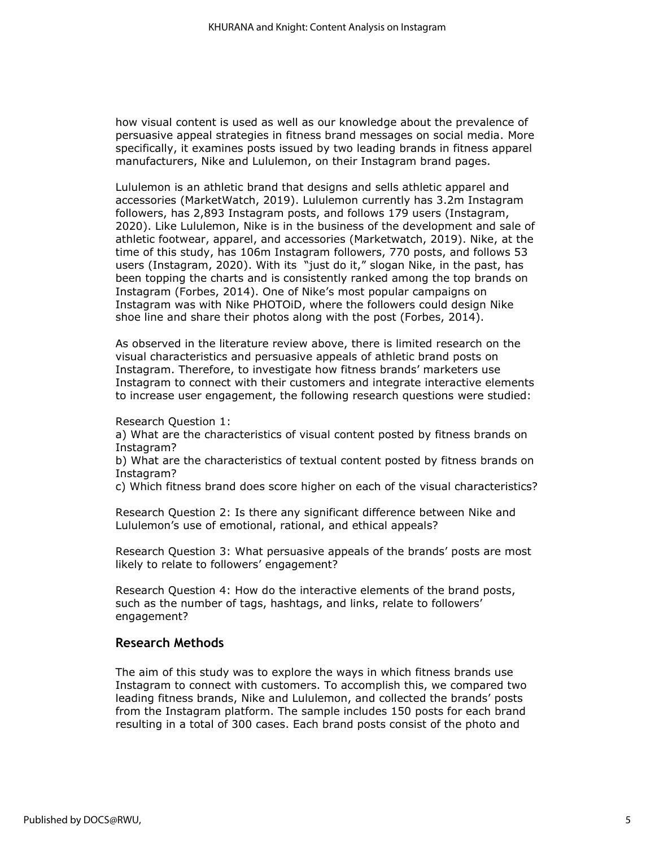how visual content is used as well as our knowledge about the prevalence of persuasive appeal strategies in fitness brand messages on social media. More specifically, it examines posts issued by two leading brands in fitness apparel manufacturers, Nike and Lululemon, on their Instagram brand pages.

Lululemon is an athletic brand that designs and sells athletic apparel and accessories (MarketWatch, 2019). Lululemon currently ha[s](https://www.instagram.com/lululemon/followers/) 3.2m Instagram followers, has 2,893 Instagram posts, and follows 179 users (Instagram, 2020). Like Lululemon, Nike is in the business of the development and sale of athletic footwear, apparel, and accessories (Marketwatch, 2019). Nike, at the time of this study, has 106m Instagram followers, 770 posts, and follows 53 users (Instagram, 2020). With its ["](https://www.instagram.com/explore/tags/justdoit/)just do it," slogan Nike, in the past, has been topping the charts and is consistently ranked among the top brands on Instagram (Forbes, 2014). One of Nike's most popular campaigns on Instagram was with Nike PHOTOiD, where the followers could design Nike shoe line and share their photos along with the post (Forbes, 2014).

As observed in the literature review above, there is limited research on the visual characteristics and persuasive appeals of athletic brand posts on Instagram. Therefore, to investigate how fitness brands' marketers use Instagram to connect with their customers and integrate interactive elements to increase user engagement, the following research questions were studied:

Research Question 1:

a) What are the characteristics of visual content posted by fitness brands on Instagram?

b) What are the characteristics of textual content posted by fitness brands on Instagram?

c) Which fitness brand does score higher on each of the visual characteristics?

Research Question 2: Is there any significant difference between Nike and Lululemon's use of emotional, rational, and ethical appeals?

Research Question 3: What persuasive appeals of the brands' posts are most likely to relate to followers' engagement?

Research Question 4: How do the interactive elements of the brand posts, such as the number of tags, hashtags, and links, relate to followers' engagement?

#### **Research Methods**

The aim of this study was to explore the ways in which fitness brands use Instagram to connect with customers. To accomplish this, we compared two leading fitness brands, Nike and Lululemon, and collected the brands' posts from the Instagram platform. The sample includes 150 posts for each brand resulting in a total of 300 cases. Each brand posts consist of the photo and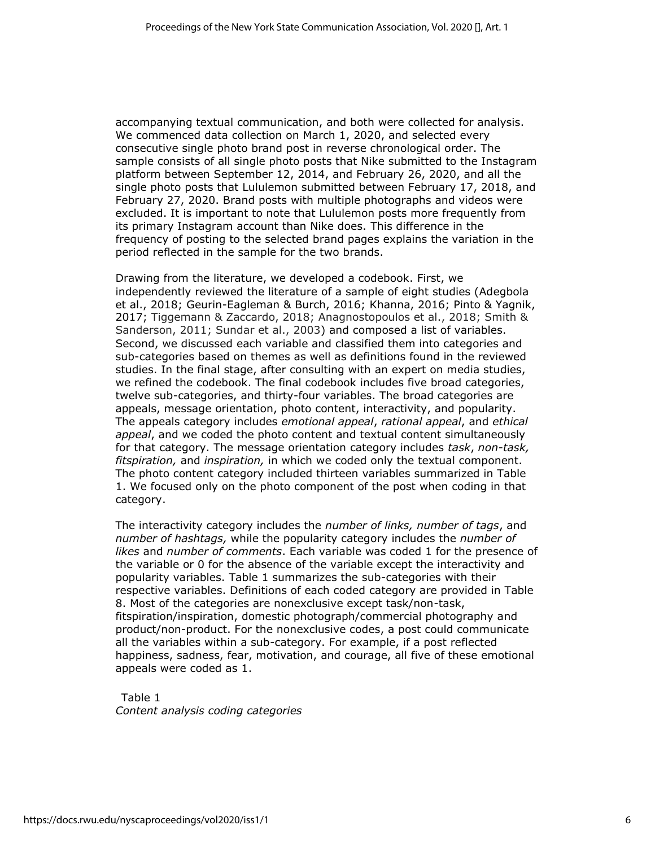accompanying textual communication, and both were collected for analysis. We commenced data collection on March 1, 2020, and selected every consecutive single photo brand post in reverse chronological order. The sample consists of all single photo posts that Nike submitted to the Instagram platform between September 12, 2014, and February 26, 2020, and all the single photo posts that Lululemon submitted between February 17, 2018, and February 27, 2020. Brand posts with multiple photographs and videos were excluded. It is important to note that Lululemon posts more frequently from its primary Instagram account than Nike does. This difference in the frequency of posting to the selected brand pages explains the variation in the period reflected in the sample for the two brands.

Drawing from the literature, we developed a codebook. First, we independently reviewed the literature of a sample of eight studies (Adegbola et al., 2018; Geurin-Eagleman & Burch, 2016; Khanna, 2016; Pinto & Yagnik, 2017; Tiggemann & Zaccardo, 2018; Anagnostopoulos et al., 2018; Smith & Sanderson, 2011; Sundar et al., 2003) and composed a list of variables. Second, we discussed each variable and classified them into categories and sub-categories based on themes as well as definitions found in the reviewed studies. In the final stage, after consulting with an expert on media studies, we refined the codebook. The final codebook includes five broad categories, twelve sub-categories, and thirty-four variables. The broad categories are appeals, message orientation, photo content, interactivity, and popularity. The appeals category includes *emotional appeal*, *rational appeal*, and *ethical appeal*, and we coded the photo content and textual content simultaneously for that category. The message orientation category includes *task*, *non-task, fitspiration,* and *inspiration,* in which we coded only the textual component. The photo content category included thirteen variables summarized in Table 1. We focused only on the photo component of the post when coding in that category.

The interactivity category includes the *number of links, number of tags*, and *number of hashtags,* while the popularity category includes the *number of likes* and *number of comments*. Each variable was coded 1 for the presence of the variable or 0 for the absence of the variable except the interactivity and popularity variables. Table 1 summarizes the sub-categories with their respective variables. Definitions of each coded category are provided in Table 8. Most of the categories are nonexclusive except task/non-task, fitspiration/inspiration, domestic photograph/commercial photography and product/non-product. For the nonexclusive codes, a post could communicate all the variables within a sub-category. For example, if a post reflected happiness, sadness, fear, motivation, and courage, all five of these emotional appeals were coded as 1.

Table 1 *Content analysis coding categories*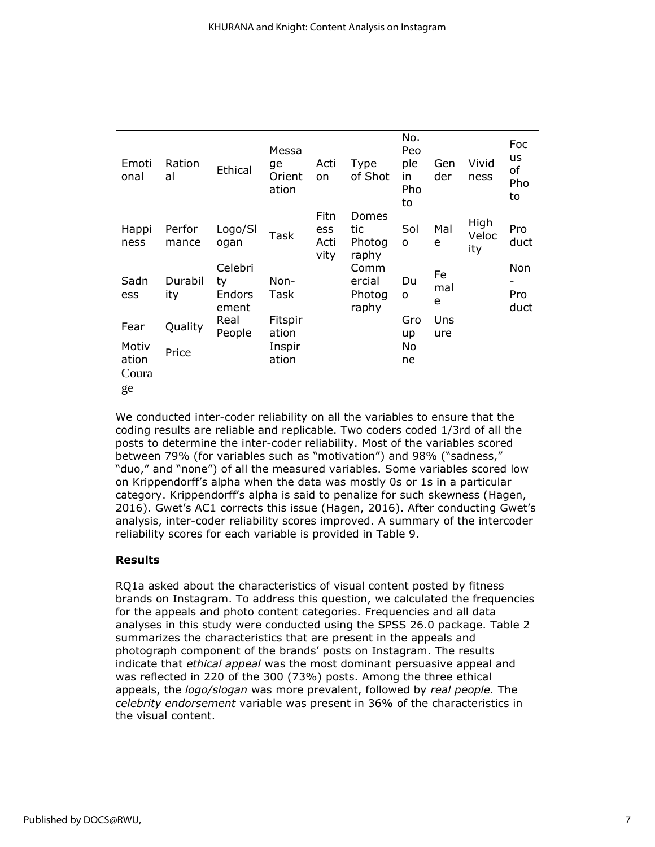| Emoti<br>onal           | Ration<br>al    | Ethical                          | Messa<br>ge<br>Orient<br>ation | Acti<br>on                  | Type<br>of Shot                   | No.<br>Peo<br>ple<br>in<br>Pho<br>to | Gen<br>der     | Vivid<br>ness        | Foc<br><b>us</b><br>оf<br>Pho<br>to |
|-------------------------|-----------------|----------------------------------|--------------------------------|-----------------------------|-----------------------------------|--------------------------------------|----------------|----------------------|-------------------------------------|
| Happi<br>ness           | Perfor<br>mance | Logo/SI<br>ogan                  | Task                           | Fitn<br>ess<br>Acti<br>vity | Domes<br>tic<br>Photog<br>raphy   | Sol<br>o                             | Mal<br>e       | High<br>Veloc<br>ity | Pro<br>duct                         |
| Sadn<br>ess             | Durabil<br>ity  | Celebri<br>ty<br>Endors<br>ement | Non-<br>Task                   |                             | Comm<br>ercial<br>Photog<br>raphy | Du<br>0                              | Fe<br>mal<br>e |                      | Non<br>Pro<br>duct                  |
| Fear                    | Quality         | Real<br>People                   | Fitspir<br>ation               |                             |                                   | Gro<br>up                            | Uns<br>ure     |                      |                                     |
| Motiv<br>ation<br>Coura | Price           |                                  | Inspir<br>ation                |                             |                                   | No<br>ne                             |                |                      |                                     |
| ge                      |                 |                                  |                                |                             |                                   |                                      |                |                      |                                     |

We conducted inter-coder reliability on all the variables to ensure that the coding results are reliable and replicable. Two coders coded 1/3rd of all the posts to determine the inter-coder reliability. Most of the variables scored between 79% (for variables such as "motivation") and 98% ("sadness," "duo," and "none") of all the measured variables. Some variables scored low on Krippendorff's alpha when the data was mostly 0s or 1s in a particular category. Krippendorff's alpha is said to penalize for such skewness (Hagen, 2016). Gwet's AC1 corrects this issue (Hagen, 2016). After conducting Gwet's analysis, inter-coder reliability scores improved. A summary of the intercoder reliability scores for each variable is provided in Table 9.

## **Results**

RQ1a asked about the characteristics of visual content posted by fitness brands on Instagram. To address this question, we calculated the frequencies for the appeals and photo content categories. Frequencies and all data analyses in this study were conducted using the SPSS 26.0 package. Table 2 summarizes the characteristics that are present in the appeals and photograph component of the brands' posts on Instagram. The results indicate that *ethical appeal* was the most dominant persuasive appeal and was reflected in 220 of the 300 (73%) posts. Among the three ethical appeals, the *logo/slogan* was more prevalent, followed by *real people.* The *celebrity endorsement* variable was present in 36% of the characteristics in the visual content.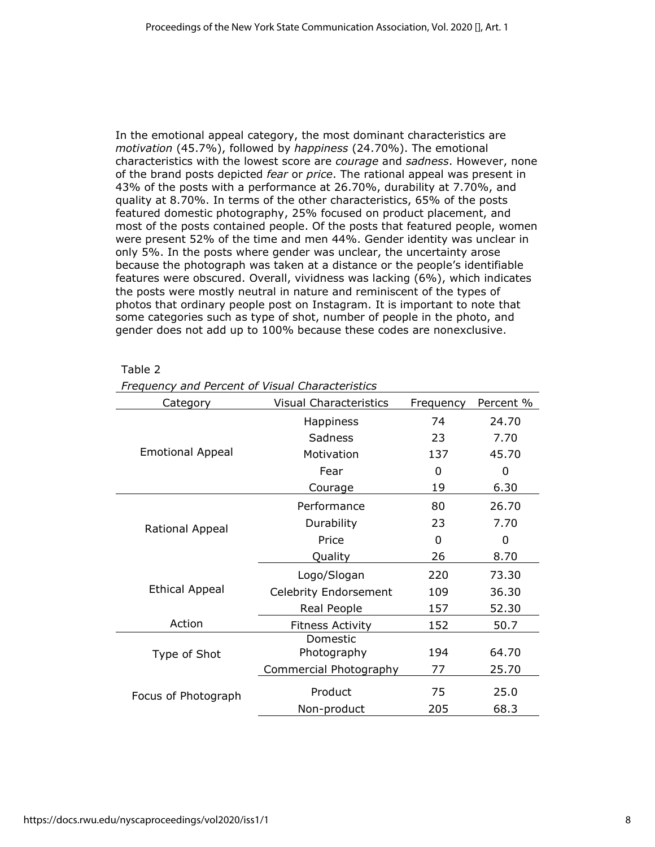In the emotional appeal category, the most dominant characteristics are *motivation* (45.7%), followed by *happiness* (24.70%). The emotional characteristics with the lowest score are *courage* and *sadness*. However, none of the brand posts depicted *fear* or *price*. The rational appeal was present in 43% of the posts with a performance at 26.70%, durability at 7.70%, and quality at 8.70%. In terms of the other characteristics, 65% of the posts featured domestic photography, 25% focused on product placement, and most of the posts contained people. Of the posts that featured people, women were present 52% of the time and men 44%. Gender identity was unclear in only 5%. In the posts where gender was unclear, the uncertainty arose because the photograph was taken at a distance or the people's identifiable features were obscured. Overall, vividness was lacking (6%), which indicates the posts were mostly neutral in nature and reminiscent of the types of photos that ordinary people post on Instagram. It is important to note that some categories such as type of shot, number of people in the photo, and gender does not add up to 100% because these codes are nonexclusive.

#### Table 2

| Category                | <b>Visual Characteristics</b> | Frequency | Percent % |
|-------------------------|-------------------------------|-----------|-----------|
|                         | <b>Happiness</b>              | 74        | 24.70     |
|                         | Sadness                       | 23        | 7.70      |
| <b>Emotional Appeal</b> | Motivation                    | 137       | 45.70     |
|                         | Fear                          | 0         | 0         |
|                         | Courage                       | 19        | 6.30      |
|                         | Performance                   | 80        | 26.70     |
| Rational Appeal         | Durability                    | 23        | 7.70      |
|                         | Price                         | 0         | 0         |
|                         | Quality                       | 26        | 8.70      |
|                         | Logo/Slogan                   | 220       | 73.30     |
| <b>Ethical Appeal</b>   | <b>Celebrity Endorsement</b>  | 109       | 36.30     |
|                         | Real People                   | 157       | 52.30     |
| Action                  | <b>Fitness Activity</b>       | 152       | 50.7      |
|                         | Domestic                      |           |           |
| Type of Shot            | Photography                   | 194       | 64.70     |
|                         | Commercial Photography        | 77        | 25.70     |
| Focus of Photograph     | Product                       | 75        | 25.0      |
|                         | Non-product                   | 205       | 68.3      |

*Frequency and Percent of Visual Characteristics*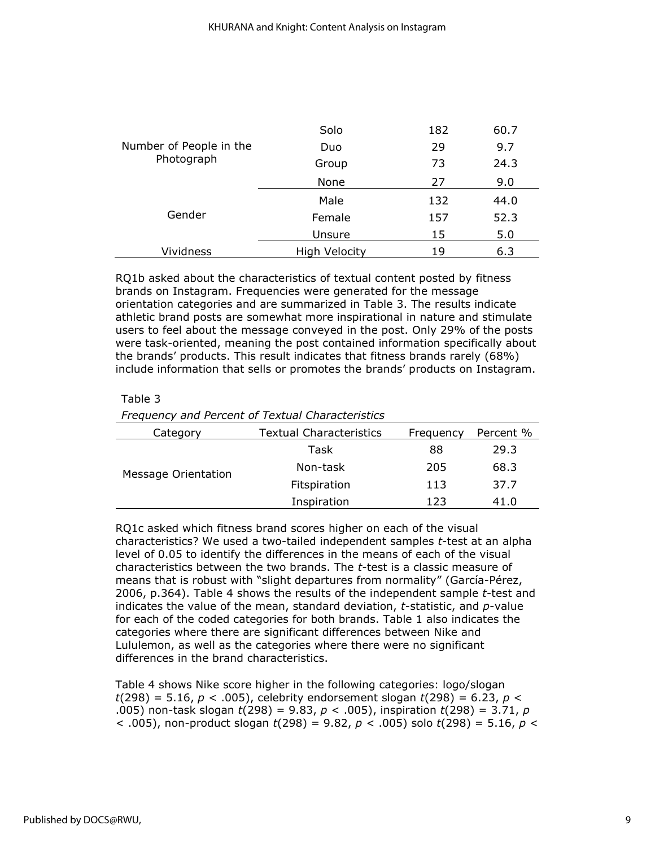|                         | Solo                 | 182 | 60.7 |
|-------------------------|----------------------|-----|------|
| Number of People in the | Duo                  | 29  | 9.7  |
| Photograph              | Group                | 73  | 24.3 |
|                         | None                 | 27  | 9.0  |
|                         | Male                 | 132 | 44.0 |
| Gender                  | Female               | 157 | 52.3 |
|                         | Unsure               | 15  | 5.0  |
| <b>Vividness</b>        | <b>High Velocity</b> | 19  | 6.3  |

RQ1b asked about the characteristics of textual content posted by fitness brands on Instagram. Frequencies were generated for the message orientation categories and are summarized in Table 3. The results indicate athletic brand posts are somewhat more inspirational in nature and stimulate users to feel about the message conveyed in the post. Only 29% of the posts were task-oriented, meaning the post contained information specifically about the brands' products. This result indicates that fitness brands rarely (68%) include information that sells or promotes the brands' products on Instagram.

#### Table 3

*Frequency and Percent of Textual Characteristics*

| Category            | Textual Characteristics | Frequency | Percent % |
|---------------------|-------------------------|-----------|-----------|
| Message Orientation | Task                    | 88        | 29.3      |
|                     | Non-task                | 205       | 68.3      |
|                     | Fitspiration            | 113       | 37.7      |
|                     | Inspiration             | 123       | 41.0      |

RQ1c asked which fitness brand scores higher on each of the visual characteristics? We used a two-tailed independent samples *t*-test at an alpha level of 0.05 to identify the differences in the means of each of the visual characteristics between the two brands. The *t*-test is a classic measure of means that is robust with "slight departures from normality" (García-Pérez, 2006, p.364). Table 4 shows the results of the independent sample *t*-test and indicates the value of the mean, standard deviation, *t*-statistic, and *p*-value for each of the coded categories for both brands. Table 1 also indicates the categories where there are significant differences between Nike and Lululemon, as well as the categories where there were no significant differences in the brand characteristics.

Table 4 shows Nike score higher in the following categories: logo/slogan *t*(298) = 5.16, *p* < .005), celebrity endorsement slogan *t*(298) = 6.23, *p* < .005) non-task slogan *t*(298) = 9.83, *p* < .005), inspiration *t*(298) = 3.71, *p* < .005), non-product slogan *t*(298) = 9.82, *p* < .005) solo *t*(298) = 5.16, *p* <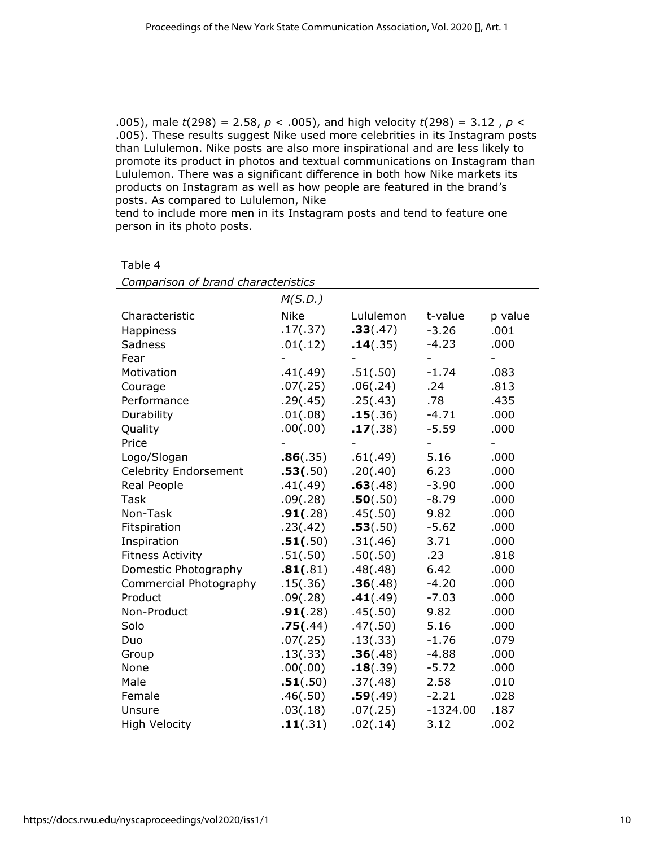.005), male *t*(298) = 2.58, *p* < .005), and high velocity *t*(298) = 3.12 , *p* < .005). These results suggest Nike used more celebrities in its Instagram posts than Lululemon. Nike posts are also more inspirational and are less likely to promote its product in photos and textual communications on Instagram than Lululemon. There was a significant difference in both how Nike markets its products on Instagram as well as how people are featured in the brand's posts. As compared to Lululemon, Nike

tend to include more men in its Instagram posts and tend to feature one person in its photo posts.

| Comparison of brand characteristics |             |           |            |                |  |
|-------------------------------------|-------------|-----------|------------|----------------|--|
|                                     | M(S.D.)     |           |            |                |  |
| Characteristic                      | <b>Nike</b> | Lululemon | t-value    | p value        |  |
| Happiness                           | .17(.37)    | .33(.47)  | $-3.26$    | .001           |  |
| Sadness                             | .01(.12)    | .14(.35)  | $-4.23$    | .000           |  |
| Fear                                |             |           |            |                |  |
| Motivation                          | .41(.49)    | .51(.50)  | $-1.74$    | .083           |  |
| Courage                             | .07(.25)    | .06(.24)  | .24        | .813           |  |
| Performance                         | .29(.45)    | .25(.43)  | .78        | .435           |  |
| Durability                          | .01(.08)    | .15(.36)  | $-4.71$    | .000           |  |
| Quality                             | .00(.00)    | .17(.38)  | $-5.59$    | .000           |  |
| Price                               |             |           |            | $\overline{a}$ |  |
| Logo/Slogan                         | .86(.35)    | .61(.49)  | 5.16       | .000           |  |
| <b>Celebrity Endorsement</b>        | .53(.50)    | .20(.40)  | 6.23       | .000           |  |
| Real People                         | .41(.49)    | .63(.48)  | $-3.90$    | .000           |  |
| Task                                | .09(.28)    | .50(.50)  | $-8.79$    | .000           |  |
| Non-Task                            | .91(.28)    | .45(.50)  | 9.82       | .000           |  |
| Fitspiration                        | .23(.42)    | .53(.50)  | $-5.62$    | .000           |  |
| Inspiration                         | .51(.50)    | .31(.46)  | 3.71       | .000           |  |
| <b>Fitness Activity</b>             | .51(.50)    | .50(.50)  | .23        | .818           |  |
| Domestic Photography                | .81(.81)    | .48(.48)  | 6.42       | .000           |  |
| Commercial Photography              | .15(.36)    | .36(.48)  | $-4.20$    | .000           |  |
| Product                             | .09(.28)    | .41(.49)  | $-7.03$    | .000           |  |
| Non-Product                         | .91(.28)    | .45(.50)  | 9.82       | .000           |  |
| Solo                                | .75(.44)    | .47(.50)  | 5.16       | .000           |  |
| Duo                                 | .07(.25)    | .13(.33)  | $-1.76$    | .079           |  |
| Group                               | .13(.33)    | .36(.48)  | $-4.88$    | .000           |  |
| None                                | .00(.00)    | .18(.39)  | $-5.72$    | .000           |  |
| Male                                | .51(.50)    | .37(.48)  | 2.58       | .010           |  |
| Female                              | .46(.50)    | .59(.49)  | $-2.21$    | .028           |  |
| Unsure                              | .03(.18)    | .07(.25)  | $-1324.00$ | .187           |  |
| High Velocity                       | .11(.31)    | .02(.14)  | 3.12       | .002           |  |

Table 4

| .17( |
|------|
|      |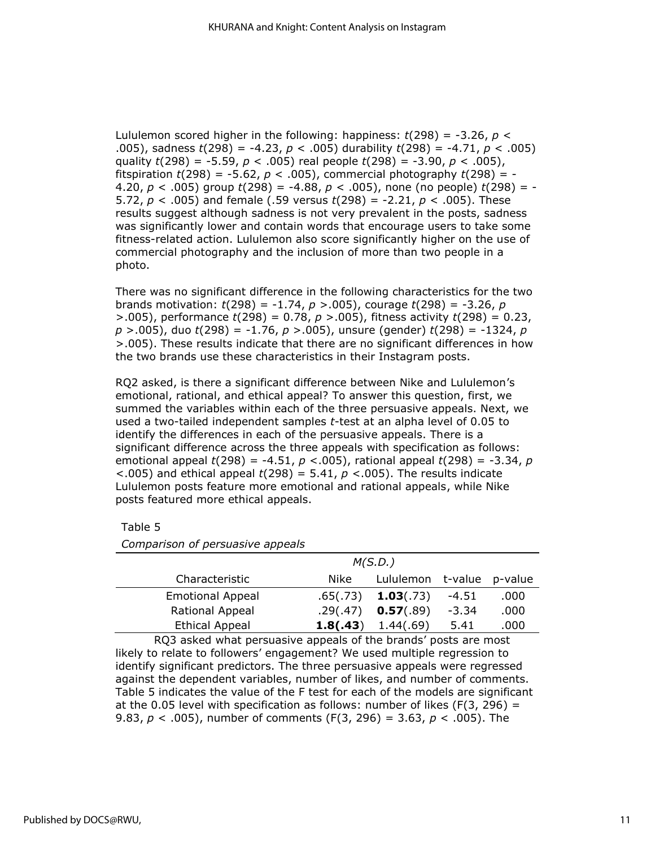Lululemon scored higher in the following: happiness:  $t(298) = -3.26$ ,  $p <$ .005), sadness *t*(298) = -4.23, *p* < .005) durability *t*(298) = -4.71, *p* < .005) quality *t*(298) = -5.59, *p* < .005) real people *t*(298) = -3.90, *p* < .005), fitspiration  $t(298) = -5.62$ ,  $p < .005$ ), commercial photography  $t(298) = -5.62$ 4.20, *p* < .005) group *t*(298) = -4.88, *p* < .005), none (no people) *t*(298) = - 5.72, *p* < .005) and female (.59 versus *t*(298) = -2.21, *p* < .005). These results suggest although sadness is not very prevalent in the posts, sadness was significantly lower and contain words that encourage users to take some fitness-related action. Lululemon also score significantly higher on the use of commercial photography and the inclusion of more than two people in a photo.

There was no significant difference in the following characteristics for the two brands motivation: *t*(298) = -1.74, *p* >.005), courage *t*(298) = -3.26, *p* >.005), performance *t*(298) = 0.78, *p* >.005), fitness activity *t*(298) = 0.23, *p* >.005), duo *t*(298) = -1.76, *p* >.005), unsure (gender) *t*(298) = -1324, *p* >.005). These results indicate that there are no significant differences in how the two brands use these characteristics in their Instagram posts.

RQ2 asked, is there a significant difference between Nike and Lululemon's emotional, rational, and ethical appeal? To answer this question, first, we summed the variables within each of the three persuasive appeals. Next, we used a two-tailed independent samples *t*-test at an alpha level of 0.05 to identify the differences in each of the persuasive appeals. There is a significant difference across the three appeals with specification as follows: emotional appeal *t*(298) = -4.51, *p* <.005), rational appeal *t*(298) = -3.34, *p* <.005) and ethical appeal *t*(298) = 5.41, *p* <.005). The results indicate Lululemon posts feature more emotional and rational appeals, while Nike posts featured more ethical appeals.

Table 5

| Comparison of persuasive appeals |              |
|----------------------------------|--------------|
|                                  | M(S.D.)      |
| Characteristic                   | Nike Lululan |

|                         | 1911 S.D. I |                           |         |      |
|-------------------------|-------------|---------------------------|---------|------|
| Characteristic          | Nike        | Lululemon t-value p-value |         |      |
| <b>Emotional Appeal</b> | .65(.73)    | 1.03(.73)                 | $-4.51$ | .000 |
| Rational Appeal         | .29(.47)    | 0.57(.89)                 | $-3.34$ | .000 |
| <b>Ethical Appeal</b>   | 1.8(.43)    | 1.44(.69)                 | 5.41    | .000 |

RQ3 asked what persuasive appeals of the brands' posts are most likely to relate to followers' engagement? We used multiple regression to identify significant predictors. The three persuasive appeals were regressed against the dependent variables, number of likes, and number of comments. Table 5 indicates the value of the F test for each of the models are significant at the 0.05 level with specification as follows: number of likes ( $F(3, 296) =$ 9.83, *p* < .005), number of comments (F(3, 296) = 3.63, *p* < .005). The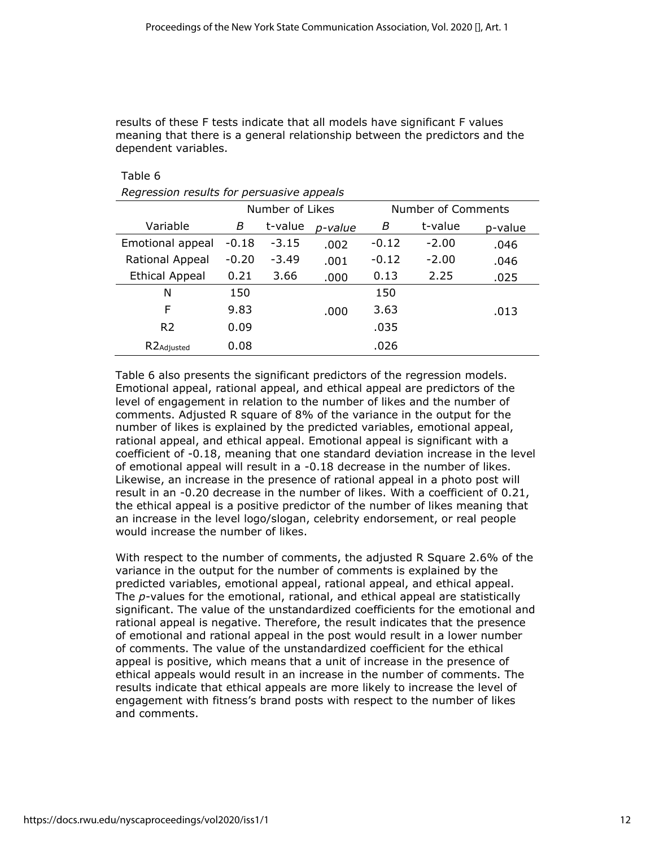results of these F tests indicate that all models have significant F values meaning that there is a general relationship between the predictors and the dependent variables.

Table 6

*Regression results for persuasive appeals*

|                       | Number of Likes |         |         |         | Number of Comments |         |
|-----------------------|-----------------|---------|---------|---------|--------------------|---------|
| Variable              | В               | t-value | p-value | B       | t-value            | p-value |
| Emotional appeal      | $-0.18$         | $-3.15$ | .002    | $-0.12$ | $-2.00$            | .046    |
| Rational Appeal       | $-0.20$         | $-3.49$ | .001    | $-0.12$ | $-2.00$            | .046    |
| <b>Ethical Appeal</b> | 0.21            | 3.66    | .000    | 0.13    | 2.25               | .025    |
| N                     | 150             |         |         | 150     |                    |         |
| F                     | 9.83            |         | .000    | 3.63    |                    | .013    |
| R <sub>2</sub>        | 0.09            |         |         | .035    |                    |         |
| R2Adjusted            | 0.08            |         |         | .026    |                    |         |

Table 6 also presents the significant predictors of the regression models. Emotional appeal, rational appeal, and ethical appeal are predictors of the level of engagement in relation to the number of likes and the number of comments. Adjusted R square of 8% of the variance in the output for the number of likes is explained by the predicted variables, emotional appeal, rational appeal, and ethical appeal. Emotional appeal is significant with a coefficient of -0.18, meaning that one standard deviation increase in the level of emotional appeal will result in a -0.18 decrease in the number of likes. Likewise, an increase in the presence of rational appeal in a photo post will result in an -0.20 decrease in the number of likes. With a coefficient of 0.21, the ethical appeal is a positive predictor of the number of likes meaning that an increase in the level logo/slogan, celebrity endorsement, or real people would increase the number of likes.

With respect to the number of comments, the adjusted R Square 2.6% of the variance in the output for the number of comments is explained by the predicted variables, emotional appeal, rational appeal, and ethical appeal. The *p*-values for the emotional, rational, and ethical appeal are statistically significant. The value of the unstandardized coefficients for the emotional and rational appeal is negative. Therefore, the result indicates that the presence of emotional and rational appeal in the post would result in a lower number of comments. The value of the unstandardized coefficient for the ethical appeal is positive, which means that a unit of increase in the presence of ethical appeals would result in an increase in the number of comments. The results indicate that ethical appeals are more likely to increase the level of engagement with fitness's brand posts with respect to the number of likes and comments.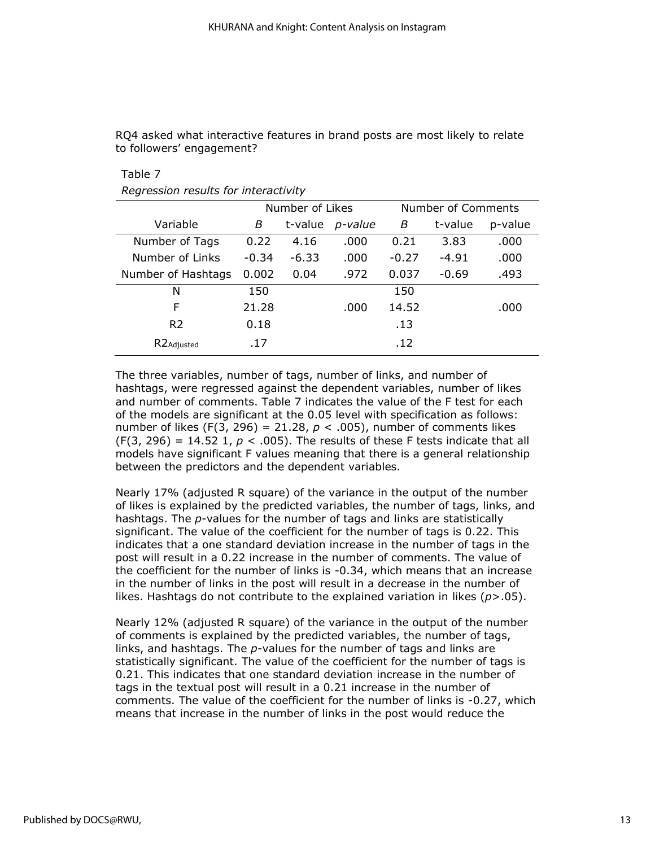RQ4 asked what interactive features in brand posts are most likely to relate to followers' engagement?

Table 7

|  |  |  | Regression results for interactivity |
|--|--|--|--------------------------------------|
|--|--|--|--------------------------------------|

|                         | Number of Likes |         |         |         | Number of Comments |         |
|-------------------------|-----------------|---------|---------|---------|--------------------|---------|
| Variable                | В               | t-value | p-value | B       | t-value            | p-value |
| Number of Tags          | 0.22            | 4.16    | .000    | 0.21    | 3.83               | .000    |
| Number of Links         | $-0.34$         | $-6.33$ | .000    | $-0.27$ | $-4.91$            | .000    |
| Number of Hashtags      | 0.002           | 0.04    | .972    | 0.037   | $-0.69$            | .493    |
| N                       | 150             |         |         | 150     |                    |         |
| F                       | 21.28           |         | .000    | 14.52   |                    | .000    |
| R <sub>2</sub>          | 0.18            |         |         | .13     |                    |         |
| R <sub>2</sub> Adjusted | .17             |         |         | .12     |                    |         |
|                         |                 |         |         |         |                    |         |

The three variables, number of tags, number of links, and number of hashtags, were regressed against the dependent variables, number of likes and number of comments. Table 7 indicates the value of the F test for each of the models are significant at the 0.05 level with specification as follows: number of likes (F(3, 296) = 21.28,  $p < .005$ ), number of comments likes  $(F(3, 296) = 14.52$  1,  $p < .005$ ). The results of these F tests indicate that all models have significant F values meaning that there is a general relationship between the predictors and the dependent variables.

Nearly 17% (adjusted R square) of the variance in the output of the number of likes is explained by the predicted variables, the number of tags, links, and hashtags. The *p*-values for the number of tags and links are statistically significant. The value of the coefficient for the number of tags is 0.22. This indicates that a one standard deviation increase in the number of tags in the post will result in a 0.22 increase in the number of comments. The value of the coefficient for the number of links is -0.34, which means that an increase in the number of links in the post will result in a decrease in the number of likes. Hashtags do not contribute to the explained variation in likes  $(p>0.05)$ .

Nearly 12% (adjusted R square) of the variance in the output of the number of comments is explained by the predicted variables, the number of tags, links, and hashtags. The *p*-values for the number of tags and links are statistically significant. The value of the coefficient for the number of tags is 0.21. This indicates that one standard deviation increase in the number of tags in the textual post will result in a 0.21 increase in the number of comments. The value of the coefficient for the number of links is -0.27, which means that increase in the number of links in the post would reduce the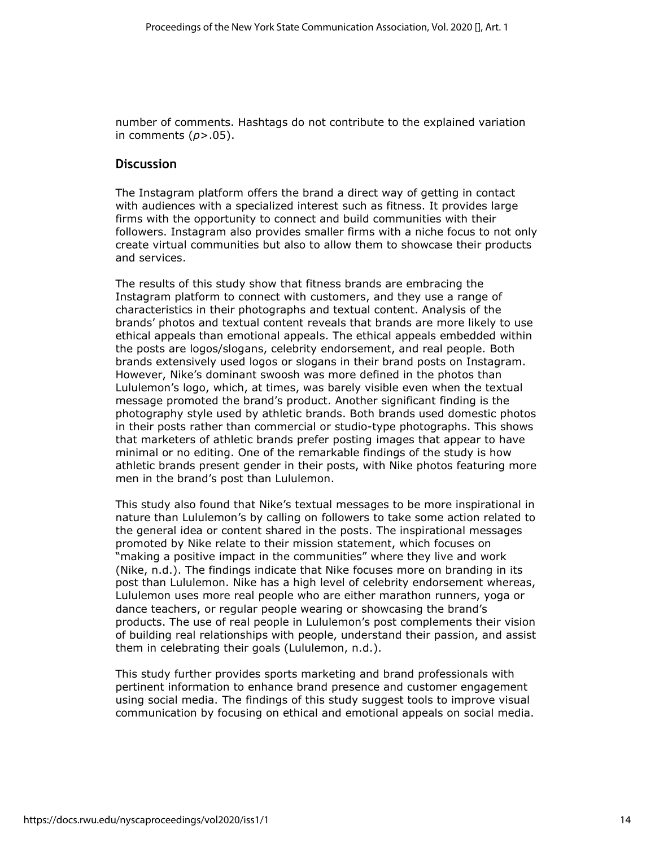number of comments. Hashtags do not contribute to the explained variation in comments (*p*>.05).

#### **Discussion**

The Instagram platform offers the brand a direct way of getting in contact with audiences with a specialized interest such as fitness. It provides large firms with the opportunity to connect and build communities with their followers. Instagram also provides smaller firms with a niche focus to not only create virtual communities but also to allow them to showcase their products and services.

The results of this study show that fitness brands are embracing the Instagram platform to connect with customers, and they use a range of characteristics in their photographs and textual content. Analysis of the brands' photos and textual content reveals that brands are more likely to use ethical appeals than emotional appeals. The ethical appeals embedded within the posts are logos/slogans, celebrity endorsement, and real people. Both brands extensively used logos or slogans in their brand posts on Instagram. However, Nike's dominant swoosh was more defined in the photos than Lululemon's logo, which, at times, was barely visible even when the textual message promoted the brand's product. Another significant finding is the photography style used by athletic brands. Both brands used domestic photos in their posts rather than commercial or studio-type photographs. This shows that marketers of athletic brands prefer posting images that appear to have minimal or no editing. One of the remarkable findings of the study is how athletic brands present gender in their posts, with Nike photos featuring more men in the brand's post than Lululemon.

This study also found that Nike's textual messages to be more inspirational in nature than Lululemon's by calling on followers to take some action related to the general idea or content shared in the posts. The inspirational messages promoted by Nike relate to their mission statement, which focuses on "making a positive impact in the communities" where they live and work (Nike, n.d.). The findings indicate that Nike focuses more on branding in its post than Lululemon. Nike has a high level of celebrity endorsement whereas, Lululemon uses more real people who are either marathon runners, yoga or dance teachers, or regular people wearing or showcasing the brand's products. The use of real people in Lululemon's post complements their vision of building real relationships with people, understand their passion, and assist them in celebrating their goals (Lululemon, n.d.).

This study further provides sports marketing and brand professionals with pertinent information to enhance brand presence and customer engagement using social media. The findings of this study suggest tools to improve visual communication by focusing on ethical and emotional appeals on social media.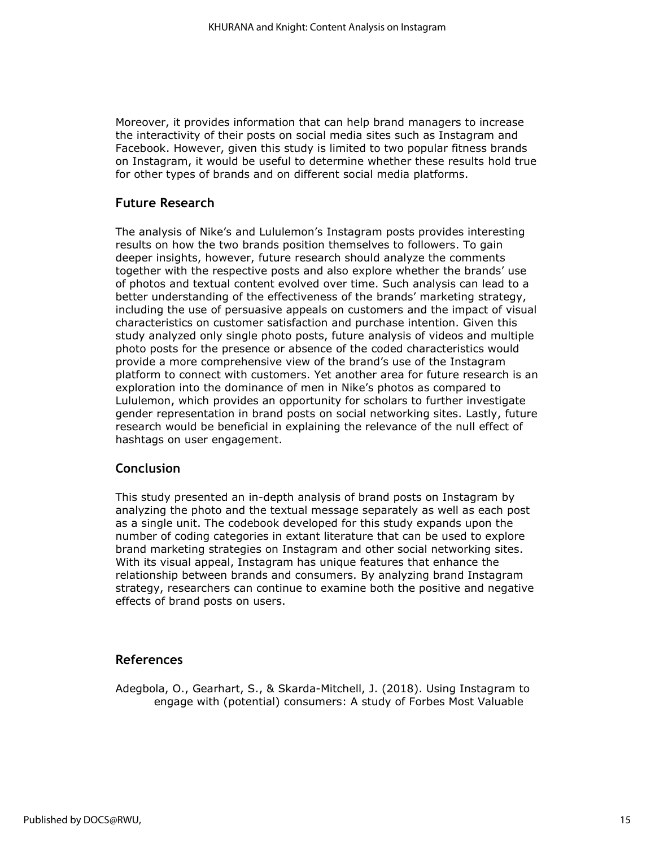Moreover, it provides information that can help brand managers to increase the interactivity of their posts on social media sites such as Instagram and Facebook. However, given this study is limited to two popular fitness brands on Instagram, it would be useful to determine whether these results hold true for other types of brands and on different social media platforms.

# **Future Research**

The analysis of Nike's and Lululemon's Instagram posts provides interesting results on how the two brands position themselves to followers. To gain deeper insights, however, future research should analyze the comments together with the respective posts and also explore whether the brands' use of photos and textual content evolved over time. Such analysis can lead to a better understanding of the effectiveness of the brands' marketing strategy, including the use of persuasive appeals on customers and the impact of visual characteristics on customer satisfaction and purchase intention. Given this study analyzed only single photo posts, future analysis of videos and multiple photo posts for the presence or absence of the coded characteristics would provide a more comprehensive view of the brand's use of the Instagram platform to connect with customers. Yet another area for future research is an exploration into the dominance of men in Nike's photos as compared to Lululemon, which provides an opportunity for scholars to further investigate gender representation in brand posts on social networking sites. Lastly, future research would be beneficial in explaining the relevance of the null effect of hashtags on user engagement.

## **Conclusion**

This study presented an in-depth analysis of brand posts on Instagram by analyzing the photo and the textual message separately as well as each post as a single unit. The codebook developed for this study expands upon the number of coding categories in extant literature that can be used to explore brand marketing strategies on Instagram and other social networking sites. With its visual appeal, Instagram has unique features that enhance the relationship between brands and consumers. By analyzing brand Instagram strategy, researchers can continue to examine both the positive and negative effects of brand posts on users.

#### **References**

Adegbola, O., Gearhart, S., & Skarda-Mitchell, J. (2018). Using Instagram to engage with (potential) consumers: A study of Forbes Most Valuable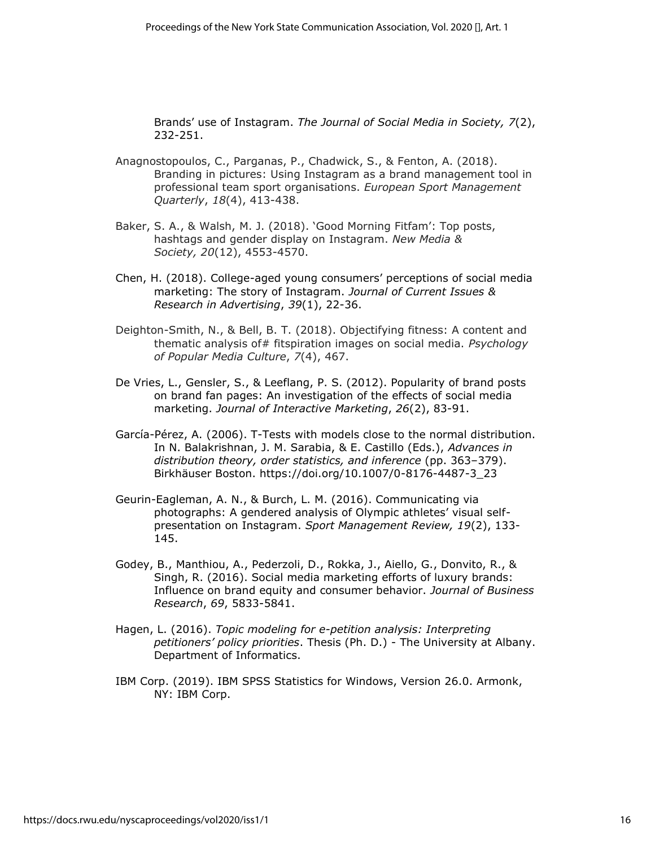Brands' use of Instagram. *The Journal of Social Media in Society, 7*(2), 232-251.

- Anagnostopoulos, C., Parganas, P., Chadwick, S., & Fenton, A. (2018). Branding in pictures: Using Instagram as a brand management tool in professional team sport organisations. *European Sport Management Quarterly*, *18*(4), 413-438.
- Baker, S. A., & Walsh, M. J. (2018). 'Good Morning Fitfam': Top posts, hashtags and gender display on Instagram. *New Media & Society, 20*(12), 4553-4570.
- Chen, H. (2018). College-aged young consumers' perceptions of social media marketing: The story of Instagram. *Journal of Current Issues & Research in Advertising*, *39*(1), 22-36.
- Deighton-Smith, N., & Bell, B. T. (2018). Objectifying fitness: A content and thematic analysis of# fitspiration images on social media. *Psychology of Popular Media Culture*, *7*(4), 467.
- De Vries, L., Gensler, S., & Leeflang, P. S. (2012). Popularity of brand posts on brand fan pages: An investigation of the effects of social media marketing. *Journal of Interactive Marketing*, *26*(2), 83-91.
- García-Pérez, A. (2006). T-Tests with models close to the normal distribution. In N. Balakrishnan, J. M. Sarabia, & E. Castillo (Eds.), *Advances in distribution theory, order statistics, and inference* (pp. 363–379). Birkhäuser Boston. https://doi.org/10.1007/0-8176-4487-3\_23
- Geurin-Eagleman, A. N., & Burch, L. M. (2016). Communicating via photographs: A gendered analysis of Olympic athletes' visual selfpresentation on Instagram. *Sport Management Review, 19*(2), 133- 145.
- Godey, B., Manthiou, A., Pederzoli, D., Rokka, J., Aiello, G., Donvito, R., & Singh, R. (2016). Social media marketing efforts of luxury brands: Influence on brand equity and consumer behavior. *Journal of Business Research*, *69*, 5833-5841.
- Hagen, L. (2016). *Topic modeling for e-petition analysis: Interpreting petitioners' policy priorities*. Thesis (Ph. D.) - The University at Albany. Department of Informatics.
- IBM Corp. (2019). IBM SPSS Statistics for Windows, Version 26.0. Armonk, NY: IBM Corp.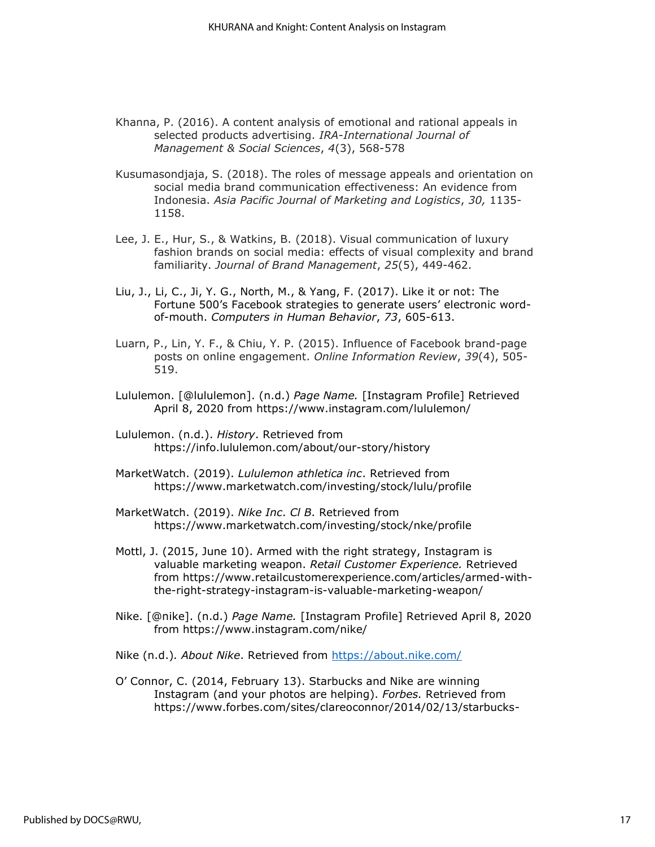- Khanna, P. (2016). A content analysis of emotional and rational appeals in selected products advertising. *IRA-International Journal of Management & Social Sciences*, *4*(3), 568-578
- Kusumasondjaja, S. (2018). The roles of message appeals and orientation on social media brand communication effectiveness: An evidence from Indonesia. *Asia Pacific Journal of Marketing and Logistics*, *30,* 1135- 1158.
- Lee, J. E., Hur, S., & Watkins, B. (2018). Visual communication of luxury fashion brands on social media: effects of visual complexity and brand familiarity. *Journal of Brand Management*, *25*(5), 449-462.
- Liu, J., Li, C., Ji, Y. G., North, M., & Yang, F. (2017). Like it or not: The Fortune 500's Facebook strategies to generate users' electronic wordof-mouth. *Computers in Human Behavior*, *73*, 605-613.
- Luarn, P., Lin, Y. F., & Chiu, Y. P. (2015). Influence of Facebook brand-page posts on online engagement. *Online Information Review*, *39*(4), 505- 519.
- Lululemon. [@lululemon]. (n.d.) *Page Name.* [Instagram Profile] Retrieved April 8, 2020 from<https://www.instagram.com/lululemon/>
- Lululemon. (n.d.). *History*. Retrieved from https://info.lululemon.com/about/our-story/history
- MarketWatch. (2019). *Lululemon athletica inc*. Retrieved from <https://www.marketwatch.com/investing/stock/lulu/profile>
- MarketWatch. (2019). *Nike Inc*. *Cl B*. Retrieved from https://www.marketwatch.com/investing/stock/nke/profile
- Mottl, J. (2015, June 10). Armed with the right strategy, Instagram is valuable marketing weapon. *Retail Customer Experience.* Retrieved from [https://www.retailcustomerexperience.com/articles/armed-with](https://www.retailcustomerexperience.com/articles/armed-with-the-right-strategy-instagram-is-valuable-marketing-weapon/)[the-right-strategy-instagram-is-valuable-marketing-weapon/](https://www.retailcustomerexperience.com/articles/armed-with-the-right-strategy-instagram-is-valuable-marketing-weapon/)
- Nike. [@nike]. (n.d.) *Page Name.* [Instagram Profile] Retrieved April 8, 2020 from<https://www.instagram.com/nike/>
- Nike (n.d.)*. About Nike*. Retrieved from <https://about.nike.com/>
- O' Connor, C. (2014, February 13). Starbucks and Nike are winning Instagram (and your photos are helping). *Forbes.* Retrieved from [https://www.forbes.com/sites/clareoconnor/2014/02/13/starbucks-](https://www.forbes.com/sites/clareoconnor/2014/02/13/starbucks-and-nike-are-winning-instagram-and-your-photos-are-helping/#2ce6b16d4894)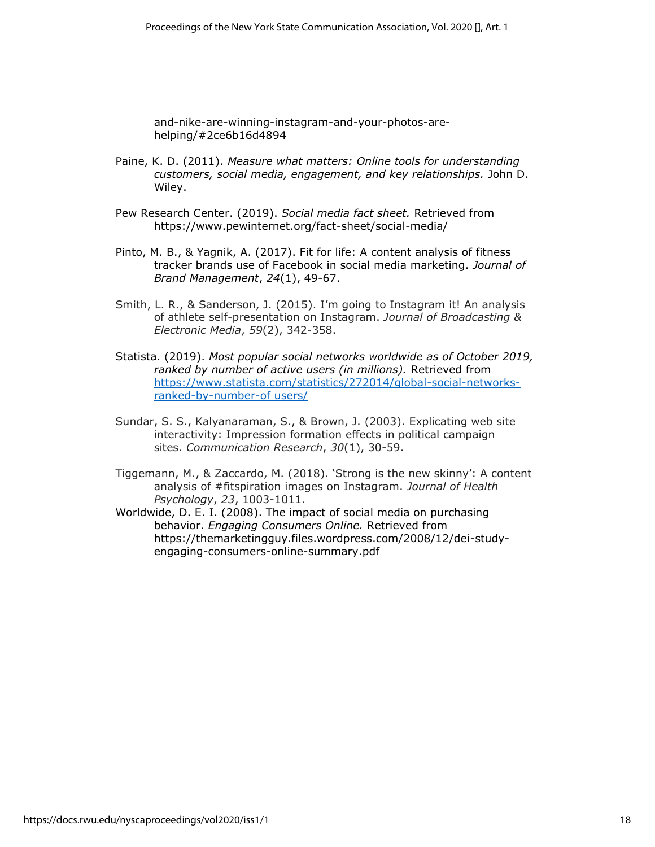[and-nike-are-winning-instagram-and-your-photos-are](https://www.forbes.com/sites/clareoconnor/2014/02/13/starbucks-and-nike-are-winning-instagram-and-your-photos-are-helping/#2ce6b16d4894)[helping/#2ce6b16d4894](https://www.forbes.com/sites/clareoconnor/2014/02/13/starbucks-and-nike-are-winning-instagram-and-your-photos-are-helping/#2ce6b16d4894)

- Paine, K. D. (2011). *Measure what matters: Online tools for understanding customers, social media, engagement, and key relationships.* John D. Wiley.
- Pew Research Center. (2019). *Social media fact sheet.* Retrieved from <https://www.pewinternet.org/fact-sheet/social-media/>
- Pinto, M. B., & Yagnik, A. (2017). Fit for life: A content analysis of fitness tracker brands use of Facebook in social media marketing. *Journal of Brand Management*, *24*(1), 49-67.
- Smith, L. R., & Sanderson, J. (2015). I'm going to Instagram it! An analysis of athlete self-presentation on Instagram. *Journal of Broadcasting & Electronic Media*, *59*(2), 342-358.
- Statista. (2019). *Most popular social networks worldwide as of October 2019, ranked by number of active users (in millions).* Retrieved from [https://www.statista.com/statistics/272014/global-social-networks](https://www.statista.com/statistics/272014/global-social-networks-ranked-by-number-of%20users/)[ranked-by-number-of users/](https://www.statista.com/statistics/272014/global-social-networks-ranked-by-number-of%20users/)
- Sundar, S. S., Kalyanaraman, S., & Brown, J. (2003). Explicating web site interactivity: Impression formation effects in political campaign sites. *Communication Research*, *30*(1), 30-59.
- Tiggemann, M., & Zaccardo, M. (2018). 'Strong is the new skinny': A content analysis of #fitspiration images on Instagram. *Journal of Health Psychology*, *23*, 1003-1011.
- Worldwide, D. E. I. (2008). The impact of social media on purchasing behavior. *Engaging Consumers Online.* Retrieved from [https://themarketingguy.files.wordpress.com/2008/12/dei-study](https://themarketingguy.files.wordpress.com/2008/12/dei-study-engaging-consumers-online-summary.pdf)[engaging-consumers-online-summary.pdf](https://themarketingguy.files.wordpress.com/2008/12/dei-study-engaging-consumers-online-summary.pdf)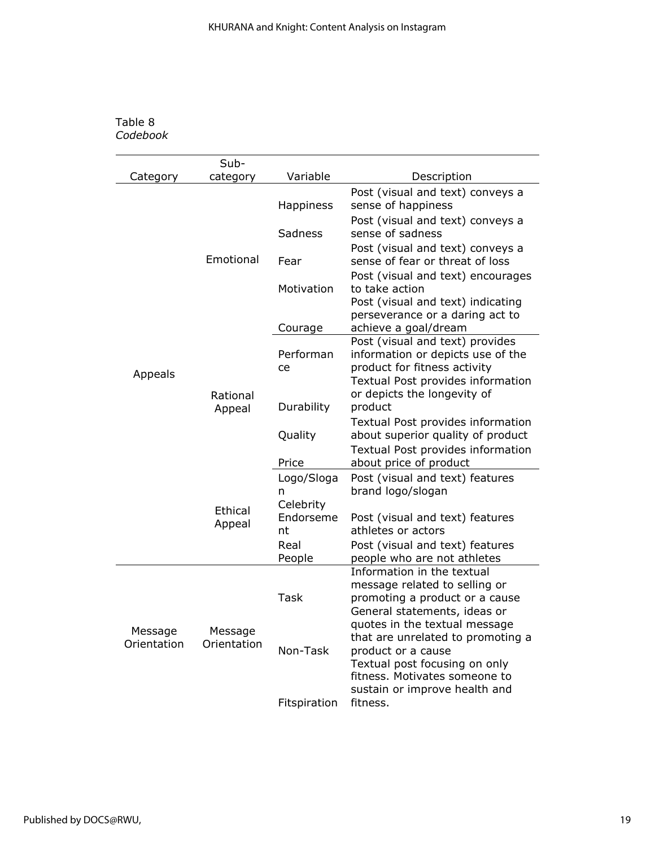# Table 8 *Codebook*

|                        | Sub-                                    |                              |                                                                                                                                                                                             |
|------------------------|-----------------------------------------|------------------------------|---------------------------------------------------------------------------------------------------------------------------------------------------------------------------------------------|
| Category               | category                                | Variable                     | Description                                                                                                                                                                                 |
| Appeals                |                                         | <b>Happiness</b>             | Post (visual and text) conveys a<br>sense of happiness                                                                                                                                      |
|                        |                                         | Sadness                      | Post (visual and text) conveys a<br>sense of sadness                                                                                                                                        |
|                        | Emotional                               | Fear                         | Post (visual and text) conveys a<br>sense of fear or threat of loss                                                                                                                         |
|                        |                                         | Motivation                   | Post (visual and text) encourages<br>to take action<br>Post (visual and text) indicating<br>perseverance or a daring act to                                                                 |
|                        |                                         | Courage                      | achieve a goal/dream                                                                                                                                                                        |
|                        | Rational<br>Appeal<br>Ethical<br>Appeal | Performan<br>ce              | Post (visual and text) provides<br>information or depicts use of the<br>product for fitness activity<br>Textual Post provides information                                                   |
|                        |                                         | Durability                   | or depicts the longevity of<br>product                                                                                                                                                      |
|                        |                                         | Quality                      | Textual Post provides information<br>about superior quality of product                                                                                                                      |
|                        |                                         | Price                        | Textual Post provides information<br>about price of product                                                                                                                                 |
|                        |                                         | Logo/Sloga<br>n              | Post (visual and text) features<br>brand logo/slogan                                                                                                                                        |
|                        |                                         | Celebrity<br>Endorseme<br>nt | Post (visual and text) features<br>athletes or actors                                                                                                                                       |
|                        |                                         | Real<br>People               | Post (visual and text) features<br>people who are not athletes                                                                                                                              |
|                        |                                         | <b>Task</b>                  | Information in the textual<br>message related to selling or<br>promoting a product or a cause<br>General statements, ideas or                                                               |
| Message<br>Orientation | Message<br>Orientation                  | Non-Task                     | quotes in the textual message<br>that are unrelated to promoting a<br>product or a cause<br>Textual post focusing on only<br>fitness. Motivates someone to<br>sustain or improve health and |
|                        |                                         | Fitspiration                 | fitness.                                                                                                                                                                                    |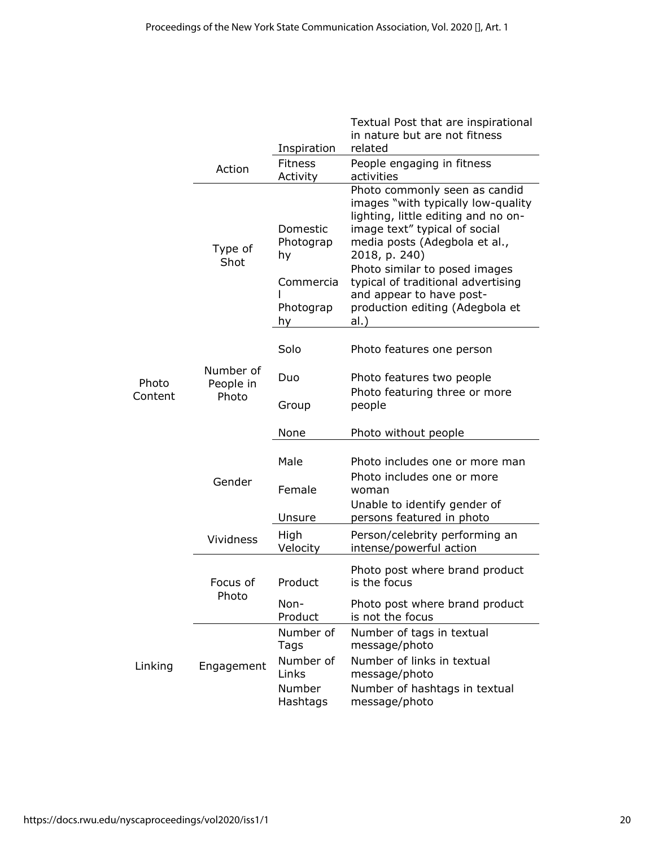|                  |                                 | Inspiration                                                 | Textual Post that are inspirational<br>in nature but are not fitness<br>related                                                                                                                                                                                                                                                             |  |  |
|------------------|---------------------------------|-------------------------------------------------------------|---------------------------------------------------------------------------------------------------------------------------------------------------------------------------------------------------------------------------------------------------------------------------------------------------------------------------------------------|--|--|
|                  | Action                          | <b>Fitness</b><br>Activity                                  | People engaging in fitness<br>activities                                                                                                                                                                                                                                                                                                    |  |  |
|                  | Type of<br>Shot                 | Domestic<br>Photograp<br>hy<br>Commercia<br>Photograp<br>hy | Photo commonly seen as candid<br>images "with typically low-quality<br>lighting, little editing and no on-<br>image text" typical of social<br>media posts (Adegbola et al.,<br>2018, p. 240)<br>Photo similar to posed images<br>typical of traditional advertising<br>and appear to have post-<br>production editing (Adegbola et<br>al.) |  |  |
| Photo<br>Content | Number of<br>People in<br>Photo | Solo                                                        | Photo features one person                                                                                                                                                                                                                                                                                                                   |  |  |
|                  |                                 | Duo                                                         | Photo features two people<br>Photo featuring three or more<br>people                                                                                                                                                                                                                                                                        |  |  |
|                  |                                 | Group                                                       |                                                                                                                                                                                                                                                                                                                                             |  |  |
|                  |                                 | None                                                        | Photo without people                                                                                                                                                                                                                                                                                                                        |  |  |
|                  | Gender                          | Male<br>Female                                              | Photo includes one or more man<br>Photo includes one or more<br>woman                                                                                                                                                                                                                                                                       |  |  |
|                  |                                 | Unsure                                                      | Unable to identify gender of<br>persons featured in photo                                                                                                                                                                                                                                                                                   |  |  |
|                  | <b>Vividness</b>                | High<br>Velocity                                            | Person/celebrity performing an<br>intense/powerful action                                                                                                                                                                                                                                                                                   |  |  |
|                  | Focus of<br>Photo               | Product                                                     | Photo post where brand product<br>is the focus                                                                                                                                                                                                                                                                                              |  |  |
|                  |                                 | Non-<br>Product                                             | Photo post where brand product<br>is not the focus                                                                                                                                                                                                                                                                                          |  |  |
| Linking          | Engagement                      | Number of<br>Tags                                           | Number of tags in textual<br>message/photo                                                                                                                                                                                                                                                                                                  |  |  |
|                  |                                 | Number of<br>Links                                          | Number of links in textual<br>message/photo                                                                                                                                                                                                                                                                                                 |  |  |
|                  |                                 | Number<br>Hashtags                                          | Number of hashtags in textual<br>message/photo                                                                                                                                                                                                                                                                                              |  |  |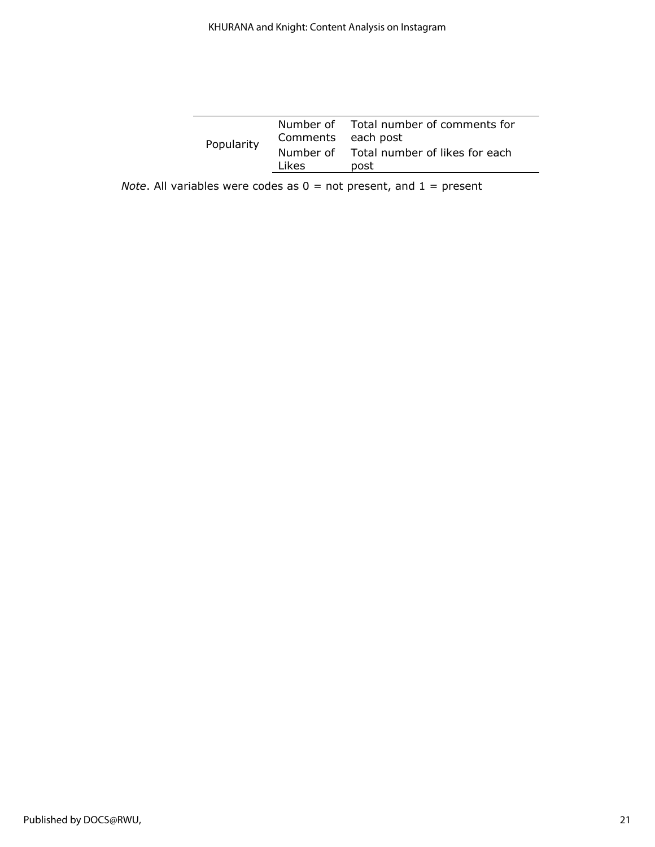| Popularity | Comments each post | Number of Total number of comments for           |  |  |
|------------|--------------------|--------------------------------------------------|--|--|
|            | Likes              | Number of Total number of likes for each<br>post |  |  |

*Note*. All variables were codes as  $0 =$  not present, and  $1 =$  present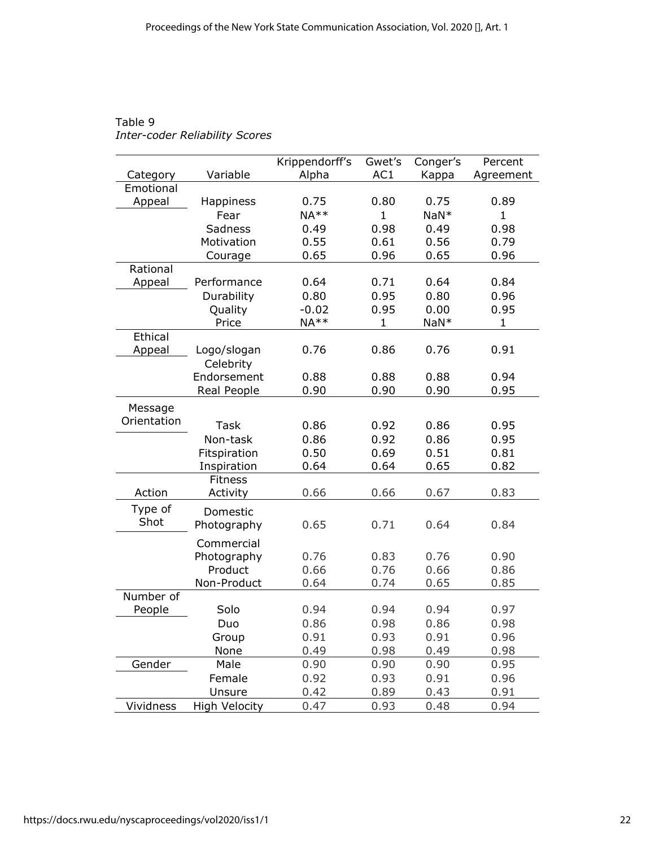|             |                | Krippendorff's | Gwet's       | Conger's | Percent      |
|-------------|----------------|----------------|--------------|----------|--------------|
| Category    | Variable       | Alpha          | AC1          | Kappa    | Agreement    |
| Emotional   |                |                |              |          |              |
| Appeal      | Happiness      | 0.75           | 0.80         | 0.75     | 0.89         |
|             | Fear           | $NA**$         | $\mathbf{1}$ | $NaN*$   | $\mathbf{1}$ |
|             | <b>Sadness</b> | 0.49           | 0.98         | 0.49     | 0.98         |
|             | Motivation     | 0.55           | 0.61         | 0.56     | 0.79         |
|             | Courage        | 0.65           | 0.96         | 0.65     | 0.96         |
| Rational    |                |                |              |          |              |
| Appeal      | Performance    | 0.64           | 0.71         | 0.64     | 0.84         |
|             | Durability     | 0.80           | 0.95         | 0.80     | 0.96         |
|             | Quality        | $-0.02$        | 0.95         | 0.00     | 0.95         |
|             | Price          | $NA**$         | $\mathbf{1}$ | $NaN*$   | $\mathbf{1}$ |
| Ethical     |                |                |              |          |              |
| Appeal      | Logo/slogan    | 0.76           | 0.86         | 0.76     | 0.91         |
|             | Celebrity      |                |              |          |              |
|             | Endorsement    | 0.88           | 0.88         | 0.88     | 0.94         |
|             | Real People    | 0.90           | 0.90         | 0.90     | 0.95         |
|             |                |                |              |          |              |
| Message     |                |                |              |          |              |
| Orientation | <b>Task</b>    | 0.86           | 0.92         | 0.86     | 0.95         |
|             | Non-task       | 0.86           | 0.92         | 0.86     | 0.95         |
|             | Fitspiration   | 0.50           | 0.69         | 0.51     | 0.81         |
|             | Inspiration    | 0.64           | 0.64         | 0.65     | 0.82         |
|             | <b>Fitness</b> |                |              |          |              |
| Action      | Activity       | 0.66           | 0.66         | 0.67     | 0.83         |
| Type of     | Domestic       |                |              |          |              |
| Shot        | Photography    | 0.65           | 0.71         | 0.64     | 0.84         |
|             |                |                |              |          |              |
|             | Commercial     |                |              |          |              |
|             | Photography    | 0.76           | 0.83         | 0.76     | 0.90         |
|             | Product        | 0.66           | 0.76         | 0.66     | 0.86         |
|             | Non-Product    | 0.64           | 0.74         | 0.65     | 0.85         |
| Number of   |                |                |              |          |              |
| People      | Solo           | 0.94           | 0.94         | 0.94     | 0.97         |
|             | Duo            | 0.86           | 0.98         | 0.86     | 0.98         |
|             | Group          | 0.91           | 0.93         | 0.91     | 0.96         |
|             | None           | 0.49           | 0.98         | 0.49     | 0.98         |
| Gender      | Male           | 0.90           | 0.90         | 0.90     | 0.95         |
|             | Female         | 0.92           | 0.93         | 0.91     | 0.96         |
|             | Unsure         | 0.42           | 0.89         | 0.43     | 0.91         |
| Vividness   | High Velocity  | 0.47           | 0.93         | 0.48     | 0.94         |

# Table 9 *Inter-coder Reliability Scores*